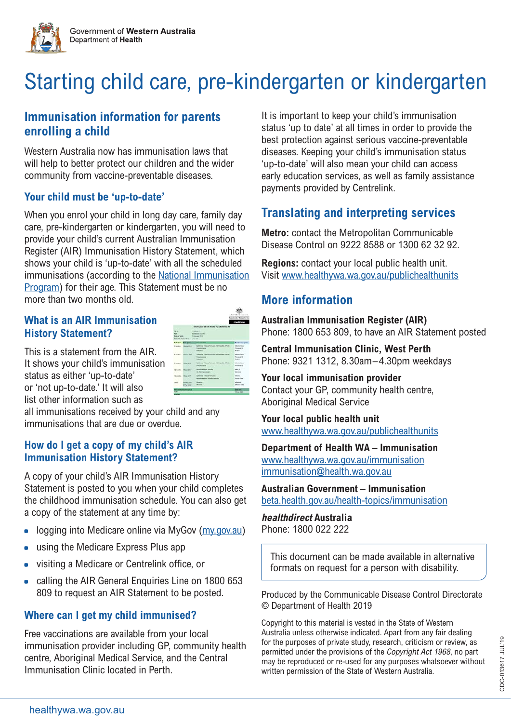



# Starting child care, pre-kindergarten or kindergarten

## **Immunisation information for parents enrolling a child**

Western Australia now has immunisation laws that will help to better protect our children and the wider community from vaccine-preventable diseases.

#### **Your child must be 'up-to-date'**

When you enrol your child in long day care, family day care, pre-kindergarten or kindergarten, you will need to provide your child's current Australian Immunisation Register (AIR) Immunisation History Statement, which shows your child is 'up-to-date' with all the scheduled immunisations (according to the [National Immunisation](https://beta.health.gov.au/health-topics/immunisation/immunisation-throughout-life/national-immunisation-program-schedule)  [Program](https://beta.health.gov.au/health-topics/immunisation/immunisation-throughout-life/national-immunisation-program-schedule)) for their age. This Statement must be no more than two months old.

#### **What is an AIR Immunisation History Statement?**

This is a statement from the AIR. It shows your child's immunis status as either 'up-to-date' or 'not up-to-date.' It will also list other information such as

| IN.   | A Britain |     | <b>Rock Telesco Rockers Hill-Heralds &amp; Pract</b>                          | <b>Allegen Henry</b><br>Forena 18                                     |
|-------|-----------|-----|-------------------------------------------------------------------------------|-----------------------------------------------------------------------|
| ation |           |     |                                                                               | State In<br><b><i><u>Algentis Vikins</u></i></b><br><b>Pinning 13</b> |
|       |           | $-$ | <b>Messine Marge Putnik</b><br>VIII Metrocationale C.                         | stati c<br><b>Florida cre</b>                                         |
|       |           |     | <b>Dukthorie Toronus Printeres</b><br>Measure Municipal Philadella (Faranaha) | Affaires<br>Poste Sara                                                |
|       |           |     | information<br><b>Mainte</b>                                                  | adjustpa-<br><b>Mage Take</b>                                         |
|       | ---       |     |                                                                               | <b>Basico</b><br>14 Jan 2420                                          |
|       |           |     |                                                                               |                                                                       |

all immunisations received by your child and any immunisations that are due or overdue.

#### **How do I get a copy of my child's AIR Immunisation History Statement?**

A copy of your child's AIR Immunisation History Statement is posted to you when your child completes the childhood immunisation schedule. You can also get a copy of the statement at any time by:

- logging into Medicare online via MyGov ([my.gov.au](https://my.gov.au))
- using the Medicare Express Plus app
- visiting a Medicare or Centrelink office, or
- calling the AIR General Enquiries Line on 1800 653 809 to request an AIR Statement to be posted.

### **Where can I get my child immunised?**

Free vaccinations are available from your local immunisation provider including GP, community health centre, Aboriginal Medical Service, and the Central Immunisation Clinic located in Perth.

It is important to keep your child's immunisation status 'up to date' at all times in order to provide the best protection against serious vaccine-preventable diseases. Keeping your child's immunisation status 'up-to-date' will also mean your child can access early education services, as well as family assistance payments provided by Centrelink.

## **Translating and interpreting services**

**Metro:** contact the Metropolitan Communicable Disease Control on 9222 8588 or 1300 62 32 92.

**Regions:** contact your local public health unit. Visit [www.healthywa.wa.gov.au/publichealthunits](http://www.healthywa.wa.gov.au/publichealthunits)

## **More information**

**Australian Immunisation Register (AIR)** Phone: 1800 653 809, to have an AIR Statement posted

**Central Immunisation Clinic, West Perth** Phone: 9321 1312, 8.30am–4.30pm weekdays

**Your local immunisation provider** Contact your GP, community health centre, Aboriginal Medical Service

**Your local public health unit** [www.healthywa.wa.gov.au/publichealthunits](http://www.healthywa.wa.gov.au/publichealthunits)

**Department of Health WA – Immunisation** [www.healthywa.wa.gov.au/immunisation](http://www.healthywa.wa.gov.au/immunisation) [immunisation@health.wa.gov.au](mailto:immunisation%40health.wa.gov.au?subject=Immunisation)

**Australian Government – Immunisation** [beta.health.gov.au/health-topics/immunisation](https://beta.health.gov.au/health-topics/immunisation)

**healthdirect Australia** Phone: 1800 022 222

This document can be made available in alternative formats on request for a person with disability.

Produced by the Communicable Disease Control Directorate © Department of Health 2019

Copyright to this material is vested in the State of Western Australia unless otherwise indicated. Apart from any fair dealing for the purposes of private study, research, criticism or review, as permitted under the provisions of the Copyright Act 1968, no part may be reproduced or re-used for any purposes whatsoever without written permission of the State of Western Australia.